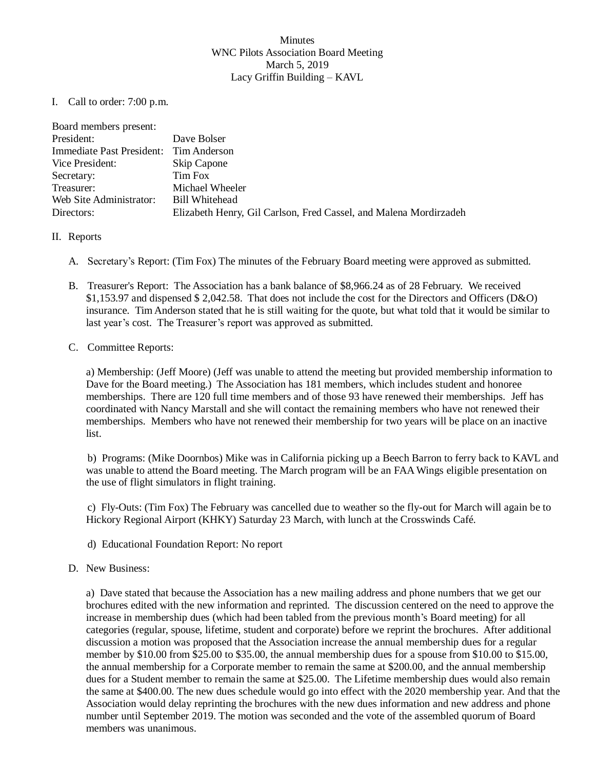## Minutes WNC Pilots Association Board Meeting March 5, 2019 Lacy Griffin Building – KAVL

I. Call to order: 7:00 p.m.

| Dave Bolser                                                       |
|-------------------------------------------------------------------|
| Immediate Past President: Tim Anderson                            |
| Skip Capone                                                       |
| Tim Fox                                                           |
| Michael Wheeler                                                   |
| Bill Whitehead                                                    |
| Elizabeth Henry, Gil Carlson, Fred Cassel, and Malena Mordirzadeh |
|                                                                   |

- II. Reports
	- A. Secretary's Report: (Tim Fox) The minutes of the February Board meeting were approved as submitted.
	- B. Treasurer's Report: The Association has a bank balance of \$8,966.24 as of 28 February. We received \$1,153.97 and dispensed \$ 2,042.58. That does not include the cost for the Directors and Officers (D&O) insurance. Tim Anderson stated that he is still waiting for the quote, but what told that it would be similar to last year's cost. The Treasurer's report was approved as submitted.
	- C. Committee Reports:

a) Membership: (Jeff Moore) (Jeff was unable to attend the meeting but provided membership information to Dave for the Board meeting.) The Association has 181 members, which includes student and honoree memberships. There are 120 full time members and of those 93 have renewed their memberships. Jeff has coordinated with Nancy Marstall and she will contact the remaining members who have not renewed their memberships. Members who have not renewed their membership for two years will be place on an inactive list.

b) Programs: (Mike Doornbos) Mike was in California picking up a Beech Barron to ferry back to KAVL and was unable to attend the Board meeting. The March program will be an FAAWings eligible presentation on the use of flight simulators in flight training.

c) Fly-Outs: (Tim Fox) The February was cancelled due to weather so the fly-out for March will again be to Hickory Regional Airport (KHKY) Saturday 23 March, with lunch at the Crosswinds Café.

- d) Educational Foundation Report: No report
- D. New Business:

a) Dave stated that because the Association has a new mailing address and phone numbers that we get our brochures edited with the new information and reprinted. The discussion centered on the need to approve the increase in membership dues (which had been tabled from the previous month's Board meeting) for all categories (regular, spouse, lifetime, student and corporate) before we reprint the brochures. After additional discussion a motion was proposed that the Association increase the annual membership dues for a regular member by \$10.00 from \$25.00 to \$35.00, the annual membership dues for a spouse from \$10.00 to \$15.00, the annual membership for a Corporate member to remain the same at \$200.00, and the annual membership dues for a Student member to remain the same at \$25.00. The Lifetime membership dues would also remain the same at \$400.00. The new dues schedule would go into effect with the 2020 membership year. And that the Association would delay reprinting the brochures with the new dues information and new address and phone number until September 2019. The motion was seconded and the vote of the assembled quorum of Board members was unanimous.